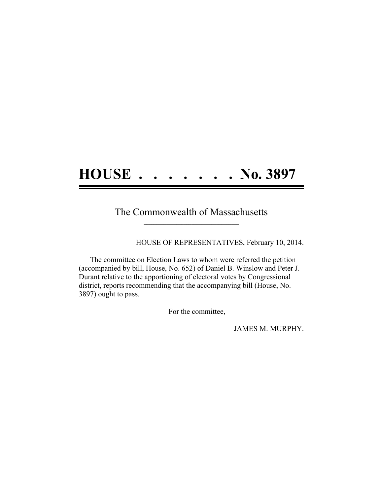## **HOUSE . . . . . . . No. 3897**

## The Commonwealth of Massachusetts **\_\_\_\_\_\_\_\_\_\_\_\_\_\_\_\_\_\_\_\_\_\_\_\_\_\_\_\_\_\_\_\_\_\_\_\_\_\_**

HOUSE OF REPRESENTATIVES, February 10, 2014.

The committee on Election Laws to whom were referred the petition (accompanied by bill, House, No. 652) of Daniel B. Winslow and Peter J. Durant relative to the apportioning of electoral votes by Congressional district, reports recommending that the accompanying bill (House, No. 3897) ought to pass.

For the committee,

JAMES M. MURPHY.